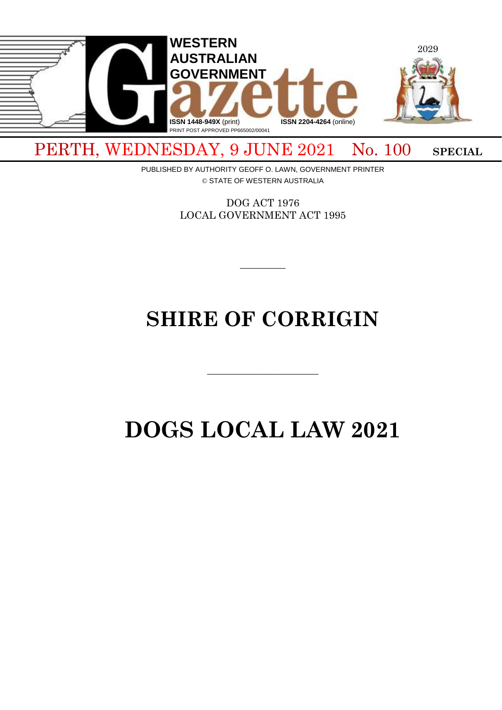

PERTH, WEDNESDAY, 9 JUNE 2021 No. 100 SPECIAL

PUBLISHED BY AUTHORITY GEOFF O. LAWN, GOVERNMENT PRINTER © STATE OF WESTERN AUSTRALIA

> DOG ACT 1976 LOCAL GOVERNMENT ACT 1995

> > $\overline{\phantom{a}}$

# **SHIRE OF CORRIGIN**

 $\overline{\phantom{a}}$  , and the contract of the contract of the contract of the contract of the contract of the contract of the contract of the contract of the contract of the contract of the contract of the contract of the contrac

# **DOGS LOCAL LAW 2021**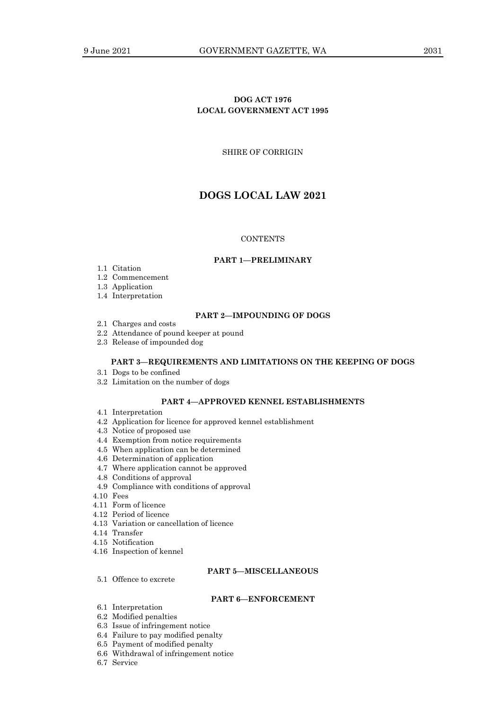## **DOG ACT 1976 LOCAL GOVERNMENT ACT 1995**

SHIRE OF CORRIGIN

# **DOGS LOCAL LAW 2021**

#### **CONTENTS**

#### **PART 1—PRELIMINARY**

- 1.1 Citation
- 1.2 Commencement
- 1.3 Application
- 1.4 Interpretation

## **PART 2—IMPOUNDING OF DOGS**

- 2.1 Charges and costs
- 2.2 Attendance of pound keeper at pound
- 2.3 Release of impounded dog

#### **PART 3—REQUIREMENTS AND LIMITATIONS ON THE KEEPING OF DOGS**

- 3.1 Dogs to be confined
- 3.2 Limitation on the number of dogs

## **PART 4—APPROVED KENNEL ESTABLISHMENTS**

- 4.1 Interpretation
- 4.2 Application for licence for approved kennel establishment
- 4.3 Notice of proposed use
- 4.4 Exemption from notice requirements
- 4.5 When application can be determined
- 4.6 Determination of application
- 4.7 Where application cannot be approved
- 4.8 Conditions of approval
- 4.9 Compliance with conditions of approval
- 4.10 Fees
- 4.11 Form of licence
- 4.12 Period of licence
- 4.13 Variation or cancellation of licence
- 4.14 Transfer
- 4.15 Notification
- 4.16 Inspection of kennel

## **PART 5—MISCELLANEOUS**

5.1 Offence to excrete

#### **PART 6—ENFORCEMENT**

- 6.1 Interpretation
- 6.2 Modified penalties
- 6.3 Issue of infringement notice
- 6.4 Failure to pay modified penalty
- 6.5 Payment of modified penalty
- 6.6 Withdrawal of infringement notice
- 6.7 Service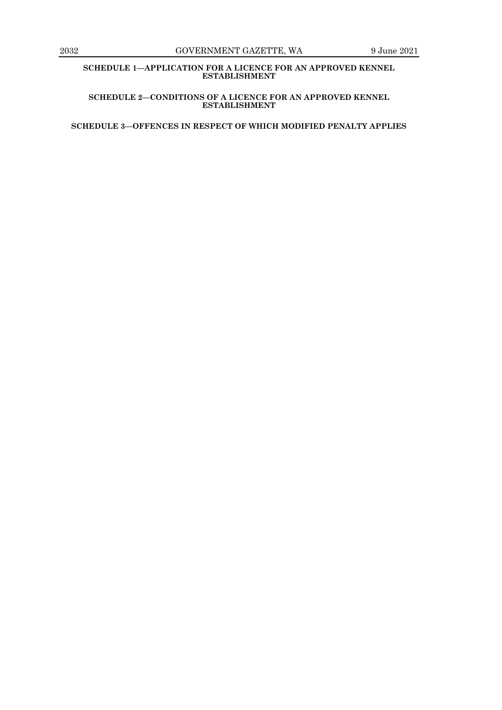**SCHEDULE 1—APPLICATION FOR A LICENCE FOR AN APPROVED KENNEL ESTABLISHMENT**

**SCHEDULE 2—CONDITIONS OF A LICENCE FOR AN APPROVED KENNEL ESTABLISHMENT**

**SCHEDULE 3—OFFENCES IN RESPECT OF WHICH MODIFIED PENALTY APPLIES**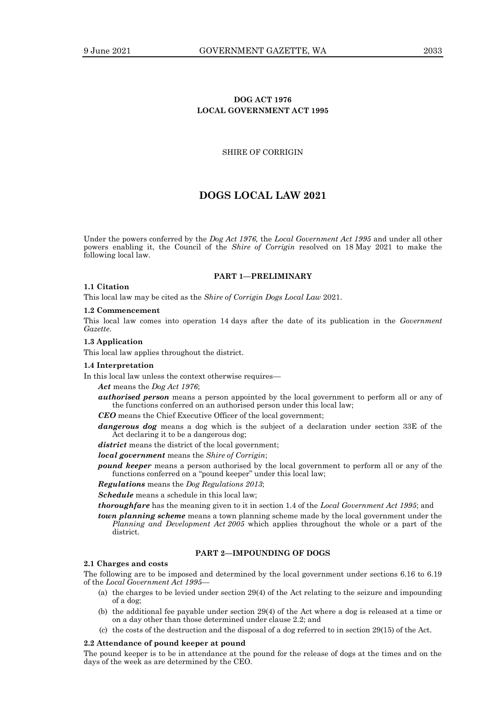## **DOG ACT 1976 LOCAL GOVERNMENT ACT 1995**

## SHIRE OF CORRIGIN

# **DOGS LOCAL LAW 2021**

Under the powers conferred by the *Dog Act 1976,* the *Local Government Act 1995* and under all other powers enabling it, the Council of the *Shire of Corrigin* resolved on 18 May 2021 to make the following local law.

#### **PART 1—PRELIMINARY**

## **1.1 Citation**

This local law may be cited as the *Shire of Corrigin Dogs Local Law* 2021.

#### **1.2 Commencement**

This local law comes into operation 14 days after the date of its publication in the *Government Gazette*.

#### **1.3 Application**

This local law applies throughout the district.

#### **1.4 Interpretation**

In this local law unless the context otherwise requires—

*Act* means the *Dog Act 1976*;

- *authorised person* means a person appointed by the local government to perform all or any of the functions conferred on an authorised person under this local law;
- *CEO* means the Chief Executive Officer of the local government;
- *dangerous dog* means a dog which is the subject of a declaration under section 33E of the Act declaring it to be a dangerous dog;

*district* means the district of the local government;

*local government* means the *Shire of Corrigin*;

*pound keeper* means a person authorised by the local government to perform all or any of the functions conferred on a "pound keeper" under this local law;

*Regulations* means the *Dog Regulations 2013*;

*Schedule* means a schedule in this local law;

- *thoroughfare* has the meaning given to it in section 1.4 of the *Local Government Act 1995*; and
- *town planning scheme* means a town planning scheme made by the local government under the *Planning and Development Act 2005* which applies throughout the whole or a part of the district.

## **PART 2—IMPOUNDING OF DOGS**

#### **2.1 Charges and costs**

The following are to be imposed and determined by the local government under sections 6.16 to 6.19 of the *Local Government Act 1995*—

- (a) the charges to be levied under section 29(4) of the Act relating to the seizure and impounding of a dog;
- (b) the additional fee payable under section 29(4) of the Act where a dog is released at a time or on a day other than those determined under clause 2.2; and
- (c) the costs of the destruction and the disposal of a dog referred to in section 29(15) of the Act.

#### **2.2 Attendance of pound keeper at pound**

The pound keeper is to be in attendance at the pound for the release of dogs at the times and on the days of the week as are determined by the CEO.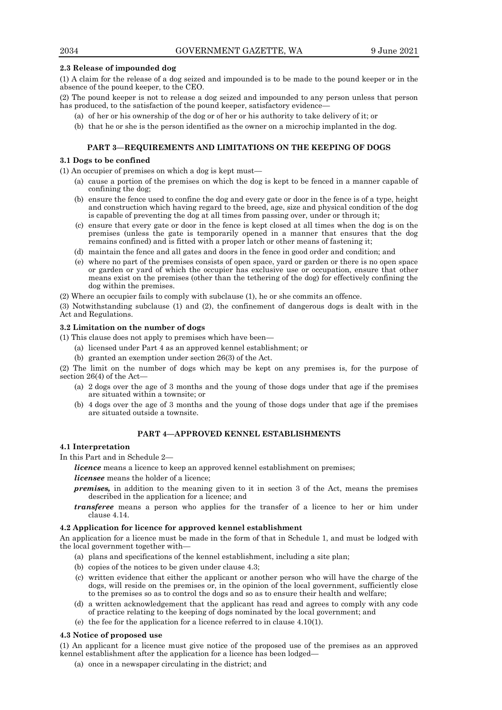## **2.3 Release of impounded dog**

(1) A claim for the release of a dog seized and impounded is to be made to the pound keeper or in the absence of the pound keeper, to the CEO.

(2) The pound keeper is not to release a dog seized and impounded to any person unless that person has produced, to the satisfaction of the pound keeper, satisfactory evidence-

- (a) of her or his ownership of the dog or of her or his authority to take delivery of it; or
- (b) that he or she is the person identified as the owner on a microchip implanted in the dog.

## **PART 3—REQUIREMENTS AND LIMITATIONS ON THE KEEPING OF DOGS**

## **3.1 Dogs to be confined**

(1) An occupier of premises on which a dog is kept must—

- (a) cause a portion of the premises on which the dog is kept to be fenced in a manner capable of confining the dog;
- (b) ensure the fence used to confine the dog and every gate or door in the fence is of a type, height and construction which having regard to the breed, age, size and physical condition of the dog is capable of preventing the dog at all times from passing over, under or through it;
- (c) ensure that every gate or door in the fence is kept closed at all times when the dog is on the premises (unless the gate is temporarily opened in a manner that ensures that the dog remains confined) and is fitted with a proper latch or other means of fastening it;
- (d) maintain the fence and all gates and doors in the fence in good order and condition; and
- (e) where no part of the premises consists of open space, yard or garden or there is no open space or garden or yard of which the occupier has exclusive use or occupation, ensure that other means exist on the premises (other than the tethering of the dog) for effectively confining the dog within the premises.

(2) Where an occupier fails to comply with subclause (1), he or she commits an offence.

(3) Notwithstanding subclause (1) and (2), the confinement of dangerous dogs is dealt with in the Act and Regulations.

## **3.2 Limitation on the number of dogs**

(1) This clause does not apply to premises which have been—

- (a) licensed under Part 4 as an approved kennel establishment; or
- (b) granted an exemption under section 26(3) of the Act.

(2) The limit on the number of dogs which may be kept on any premises is, for the purpose of section 26(4) of the Act—

- (a) 2 dogs over the age of 3 months and the young of those dogs under that age if the premises are situated within a townsite; or
- (b) 4 dogs over the age of 3 months and the young of those dogs under that age if the premises are situated outside a townsite.

## **PART 4—APPROVED KENNEL ESTABLISHMENTS**

## **4.1 Interpretation**

In this Part and in Schedule 2—

*licence* means a licence to keep an approved kennel establishment on premises;

*licensee* means the holder of a licence;

- *premises,* in addition to the meaning given to it in section 3 of the Act, means the premises described in the application for a licence; and
- *transferee* means a person who applies for the transfer of a licence to her or him under clause 4.14.

## **4.2 Application for licence for approved kennel establishment**

An application for a licence must be made in the form of that in Schedule 1, and must be lodged with the local government together with—

- (a) plans and specifications of the kennel establishment, including a site plan;
- (b) copies of the notices to be given under clause 4.3;
- (c) written evidence that either the applicant or another person who will have the charge of the dogs, will reside on the premises or, in the opinion of the local government, sufficiently close to the premises so as to control the dogs and so as to ensure their health and welfare;
- (d) a written acknowledgement that the applicant has read and agrees to comply with any code of practice relating to the keeping of dogs nominated by the local government; and
- (e) the fee for the application for a licence referred to in clause 4.10(1).

## **4.3 Notice of proposed use**

(1) An applicant for a licence must give notice of the proposed use of the premises as an approved kennel establishment after the application for a licence has been lodged—

(a) once in a newspaper circulating in the district; and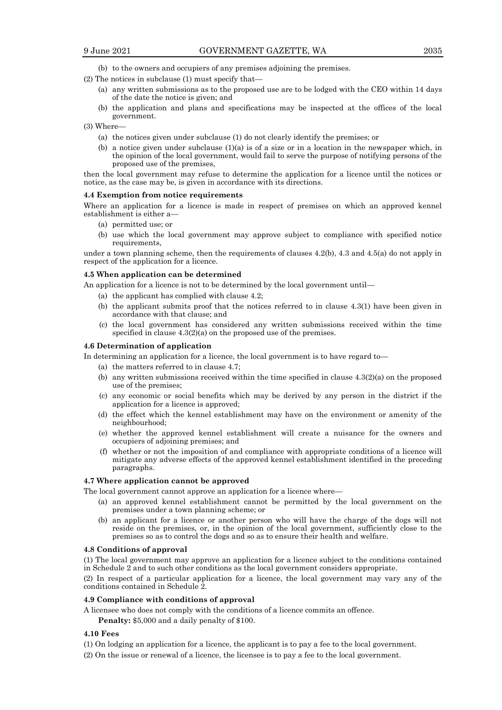- 
- (b) to the owners and occupiers of any premises adjoining the premises.
- (2) The notices in subclause (1) must specify that—
	- (a) any written submissions as to the proposed use are to be lodged with the CEO within 14 days of the date the notice is given; and
	- (b) the application and plans and specifications may be inspected at the offices of the local government.
- (3) Where—
	- (a) the notices given under subclause (1) do not clearly identify the premises; or
	- (b) a notice given under subclause  $(1)(a)$  is of a size or in a location in the newspaper which, in the opinion of the local government, would fail to serve the purpose of notifying persons of the proposed use of the premises,

then the local government may refuse to determine the application for a licence until the notices or notice, as the case may be, is given in accordance with its directions.

#### **4.4 Exemption from notice requirements**

Where an application for a licence is made in respect of premises on which an approved kennel establishment is either a—

- (a) permitted use; or
- (b) use which the local government may approve subject to compliance with specified notice requirements,

under a town planning scheme, then the requirements of clauses 4.2(b), 4.3 and 4.5(a) do not apply in respect of the application for a licence.

#### **4.5 When application can be determined**

An application for a licence is not to be determined by the local government until—

- (a) the applicant has complied with clause 4.2;
- (b) the applicant submits proof that the notices referred to in clause 4.3(1) have been given in accordance with that clause; and
- (c) the local government has considered any written submissions received within the time specified in clause 4.3(2)(a) on the proposed use of the premises.

#### **4.6 Determination of application**

In determining an application for a licence, the local government is to have regard to—

- (a) the matters referred to in clause 4.7;
- (b) any written submissions received within the time specified in clause 4.3(2)(a) on the proposed use of the premises;
- (c) any economic or social benefits which may be derived by any person in the district if the application for a licence is approved;
- (d) the effect which the kennel establishment may have on the environment or amenity of the neighbourhood;
- (e) whether the approved kennel establishment will create a nuisance for the owners and occupiers of adjoining premises; and
- (f) whether or not the imposition of and compliance with appropriate conditions of a licence will mitigate any adverse effects of the approved kennel establishment identified in the preceding paragraphs.

#### **4.7 Where application cannot be approved**

The local government cannot approve an application for a licence where—

- (a) an approved kennel establishment cannot be permitted by the local government on the premises under a town planning scheme; or
- (b) an applicant for a licence or another person who will have the charge of the dogs will not reside on the premises, or, in the opinion of the local government, sufficiently close to the premises so as to control the dogs and so as to ensure their health and welfare.

#### **4.8 Conditions of approval**

(1) The local government may approve an application for a licence subject to the conditions contained in Schedule 2 and to such other conditions as the local government considers appropriate.

(2) In respect of a particular application for a licence, the local government may vary any of the conditions contained in Schedule 2.

#### **4.9 Compliance with conditions of approval**

A licensee who does not comply with the conditions of a licence commits an offence.

**Penalty:** \$5,000 and a daily penalty of \$100.

#### **4.10 Fees**

- (1) On lodging an application for a licence, the applicant is to pay a fee to the local government.
- (2) On the issue or renewal of a licence, the licensee is to pay a fee to the local government.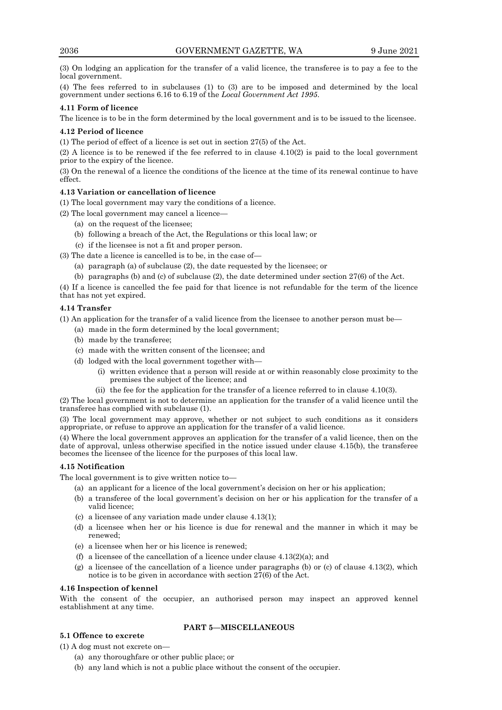(3) On lodging an application for the transfer of a valid licence, the transferee is to pay a fee to the local government.

(4) The fees referred to in subclauses (1) to (3) are to be imposed and determined by the local government under sections 6.16 to 6.19 of the *Local Government Act 1995*.

## **4.11 Form of licence**

The licence is to be in the form determined by the local government and is to be issued to the licensee.

## **4.12 Period of licence**

(1) The period of effect of a licence is set out in section 27(5) of the Act.

(2) A licence is to be renewed if the fee referred to in clause 4.10(2) is paid to the local government prior to the expiry of the licence.

(3) On the renewal of a licence the conditions of the licence at the time of its renewal continue to have effect.

## **4.13 Variation or cancellation of licence**

(1) The local government may vary the conditions of a licence.

(2) The local government may cancel a licence—

- (a) on the request of the licensee;
- (b) following a breach of the Act, the Regulations or this local law; or
- (c) if the licensee is not a fit and proper person.

(3) The date a licence is cancelled is to be, in the case of—

- (a) paragraph (a) of subclause (2), the date requested by the licensee; or
- (b) paragraphs (b) and (c) of subclause (2), the date determined under section 27(6) of the Act.

(4) If a licence is cancelled the fee paid for that licence is not refundable for the term of the licence that has not yet expired.

## **4.14 Transfer**

(1) An application for the transfer of a valid licence from the licensee to another person must be—

- (a) made in the form determined by the local government;
- (b) made by the transferee;
- (c) made with the written consent of the licensee; and
- (d) lodged with the local government together with—
	- (i) written evidence that a person will reside at or within reasonably close proximity to the premises the subject of the licence; and
	- (ii) the fee for the application for the transfer of a licence referred to in clause 4.10(3).

(2) The local government is not to determine an application for the transfer of a valid licence until the transferee has complied with subclause (1).

(3) The local government may approve, whether or not subject to such conditions as it considers appropriate, or refuse to approve an application for the transfer of a valid licence.

(4) Where the local government approves an application for the transfer of a valid licence, then on the date of approval, unless otherwise specified in the notice issued under clause 4.15(b), the transferee becomes the licensee of the licence for the purposes of this local law.

## **4.15 Notification**

The local government is to give written notice to—

- (a) an applicant for a licence of the local government's decision on her or his application;
- (b) a transferee of the local government's decision on her or his application for the transfer of a valid licence;
- (c) a licensee of any variation made under clause 4.13(1);
- (d) a licensee when her or his licence is due for renewal and the manner in which it may be renewed;
- (e) a licensee when her or his licence is renewed;
- (f) a licensee of the cancellation of a licence under clause  $4.13(2)(a)$ ; and
- (g) a licensee of the cancellation of a licence under paragraphs (b) or (c) of clause 4.13(2), which notice is to be given in accordance with section 27(6) of the Act.

## **4.16 Inspection of kennel**

With the consent of the occupier, an authorised person may inspect an approved kennel establishment at any time.

## **5.1 Offence to excrete**

## **PART 5—MISCELLANEOUS**

(1) A dog must not excrete on—

- (a) any thoroughfare or other public place; or
- (b) any land which is not a public place without the consent of the occupier.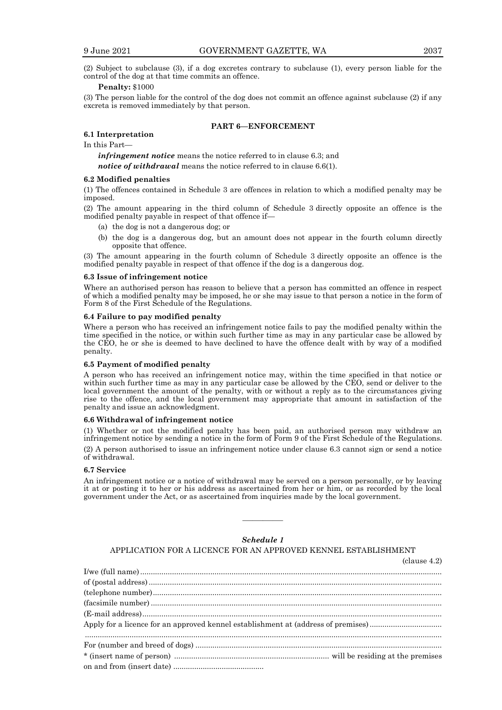(2) Subject to subclause (3), if a dog excretes contrary to subclause (1), every person liable for the control of the dog at that time commits an offence.

#### **Penalty:** \$1000

(3) The person liable for the control of the dog does not commit an offence against subclause (2) if any excreta is removed immediately by that person.

## **PART 6—ENFORCEMENT**

# **6.1 Interpretation**

In this Part—

*infringement notice* means the notice referred to in clause 6.3; and

*notice of withdrawal* means the notice referred to in clause 6.6(1).

#### **6.2 Modified penalties**

(1) The offences contained in Schedule 3 are offences in relation to which a modified penalty may be imposed.

(2) The amount appearing in the third column of Schedule 3 directly opposite an offence is the modified penalty payable in respect of that offence if—

- (a) the dog is not a dangerous dog; or
- (b) the dog is a dangerous dog, but an amount does not appear in the fourth column directly opposite that offence.

(3) The amount appearing in the fourth column of Schedule 3 directly opposite an offence is the modified penalty payable in respect of that offence if the dog is a dangerous dog.

#### **6.3 Issue of infringement notice**

Where an authorised person has reason to believe that a person has committed an offence in respect of which a modified penalty may be imposed, he or she may issue to that person a notice in the form of Form 8 of the First Schedule of the Regulations.

#### **6.4 Failure to pay modified penalty**

Where a person who has received an infringement notice fails to pay the modified penalty within the time specified in the notice, or within such further time as may in any particular case be allowed by the CEO, he or she is deemed to have declined to have the offence dealt with by way of a modified penalty.

#### **6.5 Payment of modified penalty**

A person who has received an infringement notice may, within the time specified in that notice or within such further time as may in any particular case be allowed by the CEO, send or deliver to the local government the amount of the penalty, with or without a reply as to the circumstances giving rise to the offence, and the local government may appropriate that amount in satisfaction of the penalty and issue an acknowledgment.

#### **6.6 Withdrawal of infringement notice**

(1) Whether or not the modified penalty has been paid, an authorised person may withdraw an infringement notice by sending a notice in the form of Form 9 of the First Schedule of the Regulations. (2) A person authorised to issue an infringement notice under clause 6.3 cannot sign or send a notice of withdrawal.

#### **6.7 Service**

An infringement notice or a notice of withdrawal may be served on a person personally, or by leaving it at or posting it to her or his address as ascertained from her or him, or as recorded by the local government under the Act, or as ascertained from inquiries made by the local government.

## *Schedule 1*

————

APPLICATION FOR A LICENCE FOR AN APPROVED KENNEL ESTABLISHMENT

(clause 4.2) I/we (full name).............................................................................................................................................. of (postal address).......................................................................................................................................... (telephone number)........................................................................................................................................ (facsimile number) ......................................................................................................................................... (E-mail address)............................................................................................................................................. Apply for a licence for an approved kennel establishment at (address of premises).................................. ........................................................................................................................................................................ For (number and breed of dogs) .................................................................................................................... \* (insert name of person) ......................................................................... will be residing at the premises on and from (insert date) ...........................................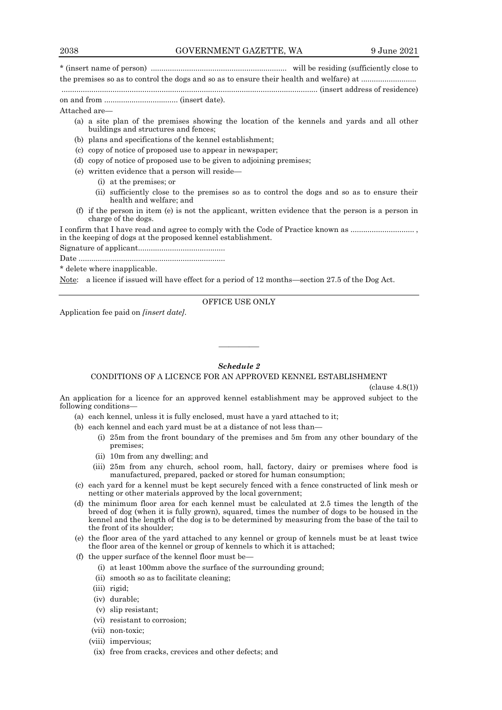\* (insert name of person) ................................................................ will be residing (sufficiently close to

the premises so as to control the dogs and so as to ensure their health and welfare) at ....................... ......................................................................................................................... (insert address of residence)

on and from ................................... (insert date).

Attached are—

- (a) a site plan of the premises showing the location of the kennels and yards and all other buildings and structures and fences;
- (b) plans and specifications of the kennel establishment;
- (c) copy of notice of proposed use to appear in newspaper;
- (d) copy of notice of proposed use to be given to adjoining premises;
- (e) written evidence that a person will reside—
	- (i) at the premises; or
	- (ii) sufficiently close to the premises so as to control the dogs and so as to ensure their health and welfare; and
- (f) if the person in item (e) is not the applicant, written evidence that the person is a person in charge of the dogs.

I confirm that I have read and agree to comply with the Code of Practice known as ............................ in the keeping of dogs at the proposed kennel establishment.

Signature of applicant.........................................

Date .....................................................................

\* delete where inapplicable.

Note: a licence if issued will have effect for a period of 12 months—section 27.5 of the Dog Act.

OFFICE USE ONLY

Application fee paid on *[insert date]*.

# *Schedule 2*

————

## CONDITIONS OF A LICENCE FOR AN APPROVED KENNEL ESTABLISHMENT

(clause 4.8(1))

An application for a licence for an approved kennel establishment may be approved subject to the following conditions—

- (a) each kennel, unless it is fully enclosed, must have a yard attached to it;
- (b) each kennel and each yard must be at a distance of not less than—
	- (i) 25m from the front boundary of the premises and 5m from any other boundary of the premises;
	- (ii) 10m from any dwelling; and
	- (iii) 25m from any church, school room, hall, factory, dairy or premises where food is manufactured, prepared, packed or stored for human consumption;
- (c) each yard for a kennel must be kept securely fenced with a fence constructed of link mesh or netting or other materials approved by the local government;
- (d) the minimum floor area for each kennel must be calculated at 2.5 times the length of the breed of dog (when it is fully grown), squared, times the number of dogs to be housed in the kennel and the length of the dog is to be determined by measuring from the base of the tail to the front of its shoulder;
- (e) the floor area of the yard attached to any kennel or group of kennels must be at least twice the floor area of the kennel or group of kennels to which it is attached;
- (f) the upper surface of the kennel floor must be—
	- (i) at least 100mm above the surface of the surrounding ground;
	- (ii) smooth so as to facilitate cleaning;
	- (iii) rigid;
	- (iv) durable;
	- (v) slip resistant;
	- (vi) resistant to corrosion;
	- (vii) non-toxic;
	- (viii) impervious;
	- (ix) free from cracks, crevices and other defects; and